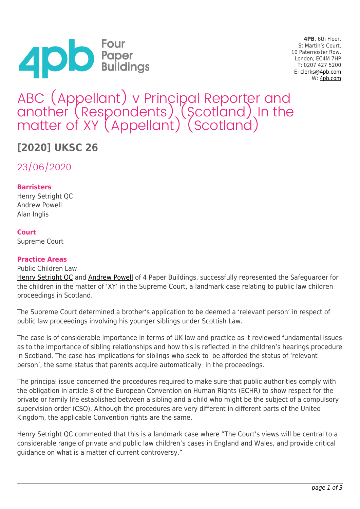

**4PB**, 6th Floor, St Martin's Court, 10 Paternoster Row, London, EC4M 7HP T: 0207 427 5200 E: [clerks@4pb.com](mailto:clerks@4pb.com) W: [4pb.com](http://4pb.com)

# ABC (Appellant) v Principal Reporter and another (Respondents) (Scotland) In the matter of XY (Appellant) (Scotland)

# **[2020] UKSC 26**

23/06/2020

## **Barristers**

Henry Setright QC Andrew Powell Alan Inglis

### **Court**

Supreme Court

#### **Practice Areas**

Public Children Law

[Henry Setright QC](https://www.4pb.com/barrister-profile/henry-setright/) and [Andrew Powell](https://www.4pb.com/barrister-profile/andrew-powell/) of 4 Paper Buildings, successfully represented the Safequarder for the children in the matter of 'XY' in the Supreme Court, a landmark case relating to public law children proceedings in Scotland.

The Supreme Court determined a brother's application to be deemed a 'relevant person' in respect of public law proceedings involving his younger siblings under Scottish Law.

The case is of considerable importance in terms of UK law and practice as it reviewed fundamental issues as to the importance of sibling relationships and how this is reflected in the children's hearings procedure in Scotland. The case has implications for siblings who seek to be afforded the status of 'relevant person', the same status that parents acquire automatically in the proceedings.

The principal issue concerned the procedures required to make sure that public authorities comply with the obligation in article 8 of the European Convention on Human Rights (ECHR) to show respect for the private or family life established between a sibling and a child who might be the subject of a compulsory supervision order (CSO). Although the procedures are very different in different parts of the United Kingdom, the applicable Convention rights are the same.

Henry Setright QC commented that this is a landmark case where "The Court's views will be central to a considerable range of private and public law children's cases in England and Wales, and provide critical guidance on what is a matter of current controversy."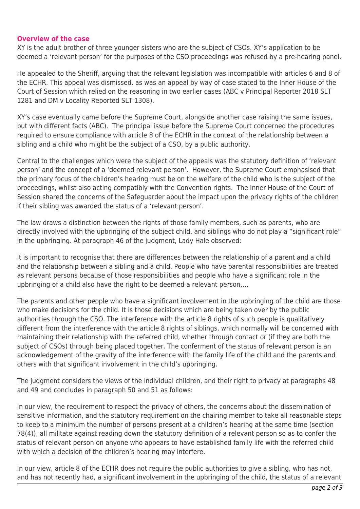#### **Overview of the case**

XY is the adult brother of three younger sisters who are the subject of CSOs. XY's application to be deemed a 'relevant person' for the purposes of the CSO proceedings was refused by a pre-hearing panel.

He appealed to the Sheriff, arguing that the relevant legislation was incompatible with articles 6 and 8 of the ECHR. This appeal was dismissed, as was an appeal by way of case stated to the Inner House of the Court of Session which relied on the reasoning in two earlier cases (ABC v Principal Reporter 2018 SLT 1281 and DM v Locality Reported SLT 1308).

XY's case eventually came before the Supreme Court, alongside another case raising the same issues, but with different facts (ABC). The principal issue before the Supreme Court concerned the procedures required to ensure compliance with article 8 of the ECHR in the context of the relationship between a sibling and a child who might be the subject of a CSO, by a public authority.

Central to the challenges which were the subject of the appeals was the statutory definition of 'relevant person' and the concept of a 'deemed relevant person'. However, the Supreme Court emphasised that the primary focus of the children's hearing must be on the welfare of the child who is the subject of the proceedings, whilst also acting compatibly with the Convention rights. The Inner House of the Court of Session shared the concerns of the Safeguarder about the impact upon the privacy rights of the children if their sibling was awarded the status of a 'relevant person'.

The law draws a distinction between the rights of those family members, such as parents, who are directly involved with the upbringing of the subject child, and siblings who do not play a "significant role" in the upbringing. At paragraph 46 of the judgment, Lady Hale observed:

It is important to recognise that there are differences between the relationship of a parent and a child and the relationship between a sibling and a child. People who have parental responsibilities are treated as relevant persons because of those responsibilities and people who have a significant role in the upbringing of a child also have the right to be deemed a relevant person,…

The parents and other people who have a significant involvement in the upbringing of the child are those who make decisions for the child. It is those decisions which are being taken over by the public authorities through the CSO. The interference with the article 8 rights of such people is qualitatively different from the interference with the article 8 rights of siblings, which normally will be concerned with maintaining their relationship with the referred child, whether through contact or (if they are both the subject of CSOs) through being placed together. The conferment of the status of relevant person is an acknowledgement of the gravity of the interference with the family life of the child and the parents and others with that significant involvement in the child's upbringing.

The judgment considers the views of the individual children, and their right to privacy at paragraphs 48 and 49 and concludes in paragraph 50 and 51 as follows:

In our view, the requirement to respect the privacy of others, the concerns about the dissemination of sensitive information, and the statutory requirement on the chairing member to take all reasonable steps to keep to a minimum the number of persons present at a children's hearing at the same time (section 78(4)), all militate against reading down the statutory definition of a relevant person so as to confer the status of relevant person on anyone who appears to have established family life with the referred child with which a decision of the children's hearing may interfere.

In our view, article 8 of the ECHR does not require the public authorities to give a sibling, who has not, and has not recently had, a significant involvement in the upbringing of the child, the status of a relevant